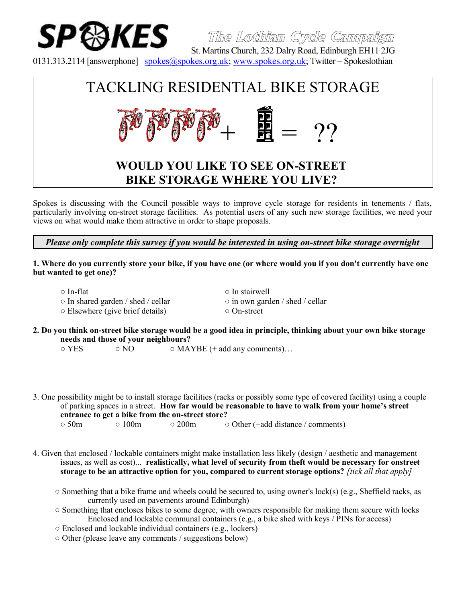

**The Lothian Cycle Campaign**

 St. Martins Church, 232 Dalry Road, Edinburgh EH11 2JG 0131.313.2114 [answerphone] [spokes@spokes.org.uk;](mailto:spokes@spokes.org.uk) [www.spokes.org.uk;](http://www.spokes.org.uk/) Twitter – Spokeslothian

# TACKLING RESIDENTIAL BIKE STORAGE  $+$  ـ - 2?

# **WOULD YOU LIKE TO SEE ON-STREET BIKE STORAGE WHERE YOU LIVE?**

Spokes is discussing with the Council possible ways to improve cycle storage for residents in tenements / flats, particularly involving on-street storage facilities. As potential users of any such new storage facilities, we need your views on what would make them attractive in order to shape proposals.

*Please only complete this survey if you would be interested in using on-street bike storage overnight*

**1. Where do you currently store your bike, if you have one (or where would you if you don't currently have one but wanted to get one)?**

- 
- In shared garden / shed / cellar in own garden / shed / cellar ○ Elsewhere (give brief details) ○ On-street
- In-flat In stairwell
- **2. Do you think on-street bike storage would be a good idea in principle, thinking about your own bike storage needs and those of your neighbours?**

 $\circ$  YES  $\circ$  NO  $\circ$  MAYBE (+ add any comments)...

- 3. One possibility might be to install storage facilities (racks or possibly some type of covered facility) using a couple of parking spaces in a street. **How far would be reasonable to have to walk from your home's street entrance to get a bike from the on-street store?**
	- 50m 100m 200m Other (+add distance / comments)
- 4. Given that enclosed / lockable containers might make installation less likely (design / aesthetic and management issues, as well as cost)... **realistically, what level of security from theft would be necessary for onstreet storage to be an attractive option for you, compared to current storage options?** *[tick all that apply]*
	- $\circ$  Something that a bike frame and wheels could be secured to, using owner's lock(s) (e.g., Sheffield racks, as currently used on pavements around Edinburgh)
	- Something that encloses bikes to some degree, with owners responsible for making them secure with locks Enclosed and lockable communal containers (e.g., a bike shed with keys / PINs for access)
	- Enclosed and lockable individual containers (e.g., lockers)
	- Other (please leave any comments / suggestions below)